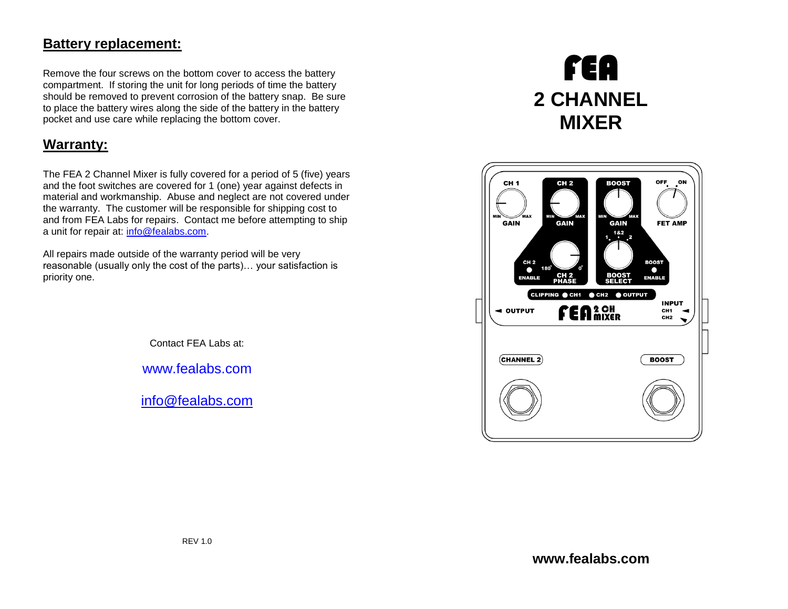## **Battery replacement:**

Remove the four screws on the bottom cover to access the battery compartment. If storing the unit for long periods of time the battery should be removed to prevent corrosion of the battery snap. Be sure to place the battery wires along the side of the battery in the battery pocket and use care while replacing the bottom cover.

# **Warranty:**

The FEA 2 Channel Mixer is fully covered for a period of 5 (five) years and the foot switches are covered for 1 (one) year against defects in material and workmanship. Abuse and neglect are not covered under the warranty. The customer will be responsible for shipping cost to and from FEA Labs for repairs. Contact me before attempting to ship a unit for repair at: [info@fealabs.com.](mailto:info@fealabs.com)

All repairs made outside of the warranty period will be very reasonable (usually only the cost of the parts)… your satisfaction is priority one.

Contact FEA Labs at:

[www.fealabs.com](http://www.fealabs.com/)

[info@fealabs.com](mailto:info@fealabs.com)

# FEA **2 CHANNEL MIXER**

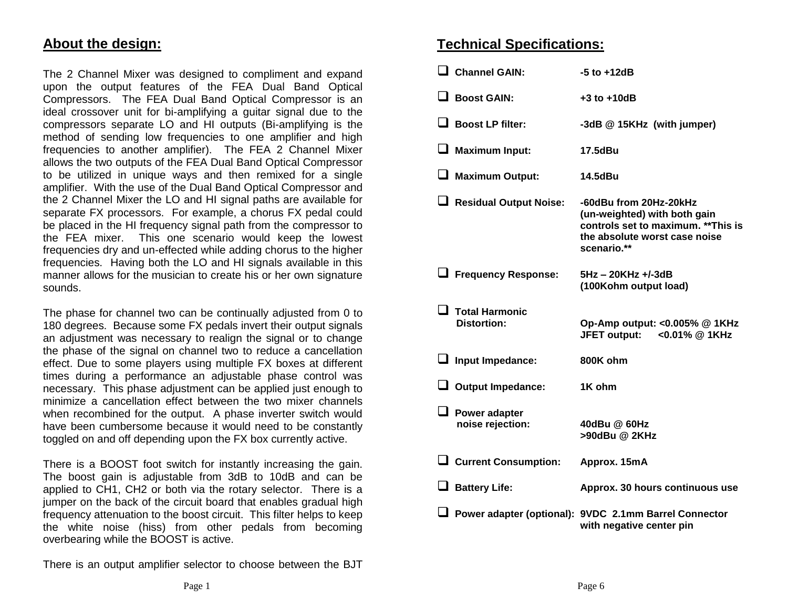### **About the design:**

The 2 Channel Mixer was designed to compliment and expand upon the output features of the FEA Dual Band Optical Compressors. The FEA Dual Band Optical Compressor is an ideal crossover unit for bi-amplifying a guitar signal due to the compressors separate LO and HI outputs (Bi-amplifying is the method of sending low frequencies to one amplifier and high frequencies to another amplifier). The FEA 2 Channel Mixer allows the two outputs of the FEA Dual Band Optical Compressor to be utilized in unique ways and then remixed for a single amplifier. With the use of the Dual Band Optical Compressor and the 2 Channel Mixer the LO and HI signal paths are available for separate FX processors. For example, a chorus FX pedal could be placed in the HI frequency signal path from the compressor to the FEA mixer. This one scenario would keep the lowest frequencies dry and un-effected while adding chorus to the higher frequencies. Having both the LO and HI signals available in this manner allows for the musician to create his or her own signature sounds.

The phase for channel two can be continually adjusted from 0 to 180 degrees. Because some FX pedals invert their output signals an adjustment was necessary to realign the signal or to change the phase of the signal on channel two to reduce a cancellation effect. Due to some players using multiple FX boxes at different times during a performance an adjustable phase control was necessary. This phase adjustment can be applied just enough to minimize a cancellation effect between the two mixer channels when recombined for the output. A phase inverter switch would have been cumbersome because it would need to be constantly toggled on and off depending upon the FX box currently active.

There is a BOOST foot switch for instantly increasing the gain. The boost gain is adjustable from 3dB to 10dB and can be applied to CH1, CH2 or both via the rotary selector. There is a jumper on the back of the circuit board that enables gradual high frequency attenuation to the boost circuit. This filter helps to keep the white noise (hiss) from other pedals from becoming overbearing while the BOOST is active.

There is an output amplifier selector to choose between the BJT

#### **Technical Specifications:**

| $\Box$ Channel GAIN:                           | $-5$ to $+12dB$                                                                                                                               |
|------------------------------------------------|-----------------------------------------------------------------------------------------------------------------------------------------------|
| $\Box$ Boost GAIN:                             | $+3$ to $+10$ dB                                                                                                                              |
| $\Box$ Boost LP filter:                        | -3dB @ 15KHz (with jumper)                                                                                                                    |
| $\Box$ Maximum Input:                          | 17.5dBu                                                                                                                                       |
| $\Box$ Maximum Output:                         | 14.5dBu                                                                                                                                       |
| Residual Output Noise:                         | -60dBu from 20Hz-20kHz<br>(un-weighted) with both gain<br>controls set to maximum. ** This is<br>the absolute worst case noise<br>scenario.** |
| Frequency Response:                            | 5Hz - 20KHz +/-3dB<br>(100Kohm output load)                                                                                                   |
| $\square$ Total Harmonic<br><b>Distortion:</b> | Op-Amp output: < 0.005% @ 1KHz<br><b>JFET output:</b><br><0.01% @ 1KHz                                                                        |
| $\Box$ Input Impedance:                        | 800K ohm                                                                                                                                      |
| $\Box$ Output Impedance:                       | 1K ohm                                                                                                                                        |
| $\Box$ Power adapter<br>noise rejection:       | 40dBu @ 60Hz<br>>90dBu @ 2KHz                                                                                                                 |
| $\Box$ Current Consumption:                    | Approx. 15mA                                                                                                                                  |
| $\Box$ Battery Life:                           | Approx. 30 hours continuous use                                                                                                               |
|                                                | ■ Power adapter (optional): 9VDC 2.1mm Barrel Connector<br>with negative center pin                                                           |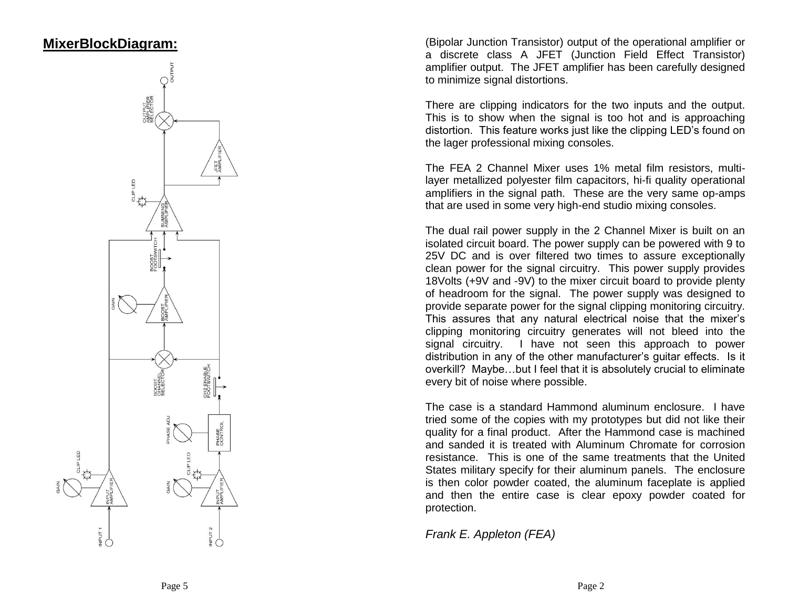## **MixerBlockDiagram:**



(Bipolar Junction Transistor) output of the operational amplifier or a discrete class A JFET (Junction Field Effect Transistor) amplifier output. The JFET amplifier has been carefully designed to minimize signal distortions.

There are clipping indicators for the two inputs and the output. This is to show when the signal is too hot and is approaching distortion. This feature works just like the clipping LED's found on the lager professional mixing consoles.

The FEA 2 Channel Mixer uses 1% metal film resistors, multi layer metallized polyester film capacitors, hi -fi quality operational amplifiers in the signal path. These are the very same op -amps that are used in some very high -end studio mixing consoles.

The dual rail power supply in the 2 Channel Mixer is built on an isolated circuit board. The power supply can be powered with 9 to 25V DC and is over filtered two times to assure exceptionally clean power for the signal circuitry. This power supply provides 18Volts (+9V and -9V) to the mixer circuit board to provide plenty of headroom for the signal. The power supply was designed to provide separate power for the signal clipping monitoring circuitry. This assures that any natural electrical noise that the mixer's clipping monitoring circuitry generates will not bleed into the signal circuitry. I have not seen this approach to power distribution in any of the other manufacturer's guitar effects. Is it overkill? Maybe…but I feel that it is absolutely crucial to eliminate every bit of noise where possible.

The case is a standard Hammond aluminum enclosure. I have tried some of the copies with my prototypes but did not like their quality for a final product. After the Hammond case is machined and sanded it is treated with Aluminum Chromate for corrosion resistance. This is one of the same treatments that the United States military specify for their aluminum panels. The enclosure is then color powder coated, the aluminum faceplate is applied and then the entire case is clear epoxy powder coated for protection.

*Frank E. Appleton (FEA)*